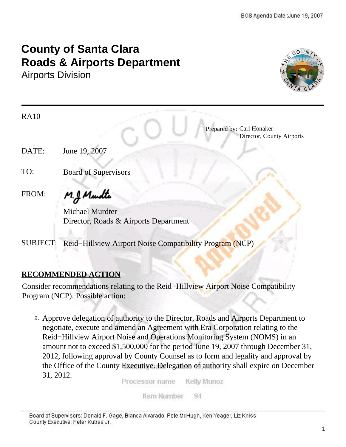# **County of Santa Clara Roads & Airports Department**

Airports Division



| <b>RA10</b> |                                                          |
|-------------|----------------------------------------------------------|
|             | Prepared by: Carl Honaker<br>Director, County Airports   |
| DATE:       | June 19, 2007                                            |
| TO:         | <b>Board of Supervisors</b>                              |
| FROM:       | M.J. Mundte                                              |
|             | Michael Murdter<br>Director, Roads & Airports Department |

SUBJECT: Reid−Hillview Airport Noise Compatibility Program (NCP)

#### **RECOMMENDED ACTION**

Consider recommendations relating to the Reid−Hillview Airport Noise Compatibility Program (NCP). Possible action:

a. Approve delegation of authority to the Director, Roads and Airports Department to negotiate, execute and amend an Agreement with Era Corporation relating to the Reid−Hillview Airport Noise and Operations Monitoring System (NOMS) in an amount not to exceed \$1,500,000 for the period June 19, 2007 through December 31, 2012, following approval by County Counsel as to form and legality and approval by the Office of the County Executive. Delegation of authority shall expire on December 31, 2012.

Processor name Kelly Munoz

> Ifem Number 94

Board of Supervisors: Donald F. Gage, Blanca Alvarado, Pete McHugh, Ken Yeager, Liz Kniss County Executive: Peter Kutras Jr.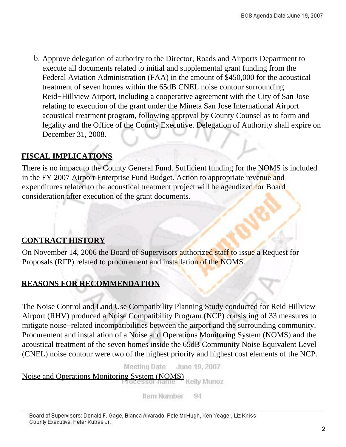b. Approve delegation of authority to the Director, Roads and Airports Department to execute all documents related to initial and supplemental grant funding from the Federal Aviation Administration (FAA) in the amount of \$450,000 for the acoustical treatment of seven homes within the 65dB CNEL noise contour surrounding Reid−Hillview Airport, including a cooperative agreement with the City of San Jose relating to execution of the grant under the Mineta San Jose International Airport acoustical treatment program, following approval by County Counsel as to form and legality and the Office of the County Executive. Delegation of Authority shall expire on December 31, 2008.

## **FISCAL IMPLICATIONS**

There is no impact to the County General Fund. Sufficient funding for the NOMS is included in the FY 2007 Airport Enterprise Fund Budget. Action to appropriate revenue and expenditures related to the acoustical treatment project will be agendized for Board consideration after execution of the grant documents.

# **CONTRACT HISTORY**

On November 14, 2006 the Board of Supervisors authorized staff to issue a Request for Proposals (RFP) related to procurement and installation of the NOMS.

# **REASONS FOR RECOMMENDATION**

The Noise Control and Land Use Compatibility Planning Study conducted for Reid Hillview Airport (RHV) produced a Noise Compatibility Program (NCP) consisting of 33 measures to mitigate noise−related incompatibilities between the airport and the surrounding community. Procurement and installation of a Noise and Operations Monitoring System (NOMS) and the acoustical treatment of the seven homes inside the 65dB Community Noise Equivalent Level (CNEL) noise contour were two of the highest priority and highest cost elements of the NCP.

> Meeting Date June 19, 2007

Noise and Operations Monitoring System (NOMS)

Kelly Munoz

Item Number 94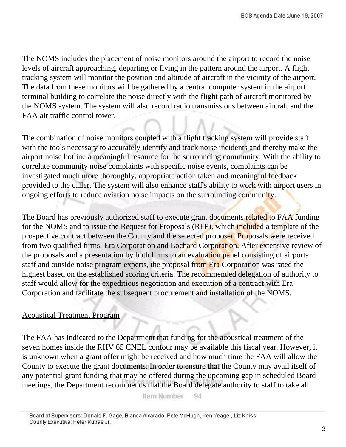The NOMS includes the placement of noise monitors around the airport to record the noise levels of aircraft approaching, departing or flying in the pattern around the airport. A flight tracking system will monitor the position and altitude of aircraft in the vicinity of the airport. The data from these monitors will be gathered by a central computer system in the airport terminal building to correlate the noise directly with the flight path of aircraft monitored by the NOMS system. The system will also record radio transmissions between aircraft and the FAA air traffic control tower.

The combination of noise monitors coupled with a flight tracking system will provide staff with the tools necessary to accurately identify and track noise incidents and thereby make the airport noise hotline a meaningful resource for the surrounding community. With the ability to correlate community noise complaints with specific noise events, complaints can be investigated much more thoroughly, appropriate action taken and meaningful feedback provided to the caller. The system will also enhance staff's ability to work with airport users in ongoing efforts to reduce aviation noise impacts on the surrounding community.

The Board has previously authorized staff to execute grant documents related to FAA funding for the NOMS and to issue the Request for Proposals (RFP), which included a template of the prospective contract between the County and the selected proposer. Proposals were received from two qualified firms, Era Corporation and Lochard Corporation. After extensive review of the proposals and a presentation by both firms to an evaluation panel consisting of airports staff and outside noise program experts, the proposal from Era Corporation was rated the highest based on the established scoring criteria. The recommended delegation of authority to staff would allow for the expeditious negotiation and execution of a contract with Era Corporation and facilitate the subsequent procurement and installation of the NOMS.

#### Acoustical Treatment Program

The FAA has indicated to the Department that funding for the acoustical treatment of the seven homes inside the RHV 65 CNEL contour may be available this fiscal year. However, it is unknown when a grant offer might be received and how much time the FAA will allow the County to execute the grant documents. In order to ensure that the County may avail itself of any potential grant funding that may be offered during the upcoming gap in scheduled Board meetings, the Department recommends that the Board delegate authority to staff to take all

> Ifem Number 94

Board of Supervisors: Donald F. Gage, Blanca Alvarado, Pete McHugh, Ken Yeager, Liz Kniss County Executive: Peter Kutras Jr.